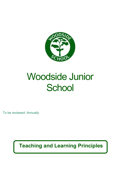

# Woodside Junior **School**

To be reviewed: Annually

**Teaching and Learning Principles**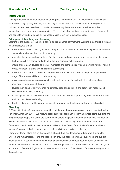# **Introduction**

These procedures have been created by and agreed upon by the staff. At Woodside School we are committed to high quality teaching and learning to raise standards of achievement for all groups of children. All teachers have been consulted in developing these procedures, which summarise expectations and common working practices. They reflect what has been agreed in terms of approach and consistency and make explicit the best practice to which the school aspires.

#### **Principles of Teaching and Learning**

Learning is the purpose of the whole school and is a shared commitment. Working in partnership with all stakeholders, we aim to:

- provide a supportive, positive, healthy, caring and safe environment, which has high expectations and values all members of the school community;
- recognise the needs and aspirations of all individuals and provide opportunities for all pupils to make the best possible progress and attain the highest personal achievements;
- ensure children can develop as literate, numerate and technologically competent individuals, within a broad, balanced, exciting and challenging curriculum;
- provide rich and varied contexts and experiences for pupils to acquire, develop and apply a broad range of knowledge, skills and understanding;
- provide a curriculum which promotes the spiritual, moral, social, cultural, physical, mental and emotional development of the pupils;
- develop individuals with lively, enquiring minds, good thinking skills and oracy, self-respect, selfdiscipline and positive attitudes;
- encourage all children to be enthusiastic and committed learners, promoting their self -esteem, selfworth and emotional well-being;
- develop children's confidence and capacity to learn and work independently and collaboratively;

# **Planning**

At Woodside Junior School we are committed to following the programmes of study as required by the National Curriculum 2014. We follow a cross curricular approach to learning, where some subjects are taught through a topic and some are covered as discrete subjects. Regular staff meetings are used to discuss various aspects of the curriculum and to ensure consistency of approach and standards. Curriculum is enriched by extra-curricular activities such as Forest School, Mini-Enterprise, visits to places of interests linked to the school curriculum, visitors and 'off-curricular' days.

Termly/half-termly plans are on the teachers' shared drive and teachers produce weekly plans for English and mathematics. Plans are based upon previous assessment data, pupil need and subject expectation. Curriculum time can be planned as continuous study throughout the term, or as blocks of study. At Woodside School we are committed to raising standards of basic skills i.e. ability to read, write and speak in Standard English and to use mathematics at a proficient level to facilitate learning across the curriculum.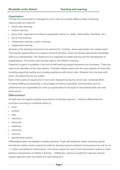## **Organisation**

The learning environment is managed in such a way as to enable different styles of learning. Opportunities are made for:

- whole class teaching;
- outdoor learning;
- group work, organised according to appropriate criteria (i.e. ability, mixed ability, friendship, etc.);
- one to one teaching;
- collaborative learning in pairs or groups;
- independent learning.

All areas of the learning environment are planned for, including, where appropriate, the outside areas. This ensures opportunities for a range of practical activities, which will develop appropriate knowledge, skills and understanding. The classrooms are organised to enable learning and the development of independence. The school uses learning walls to aid children's learning.

Classroom support is available in the form of both learning support assistants and volunteers. These are used at the discretion of the class teacher. Volunteer helpers assist with the many aspects of school life, including supporting reading and providing assistance with school visits. Students from the local sixth forms are welcomed into our school.

Each child is given an opportunity to have work displayed during the school year. Sustained effort, including drafting and reworking, is encouraged to enhance standards. School events such as performances and assemblies are seen as opportunities for all pupils to demonstrate their own best performance.

#### **Differentiation**

All staff have the highest possible expectations of individual learners. Teachers differentiate the curriculum according to individual needs by:

- pace;
- content;
- task:
- relevance;
- resources;
- extension;
- autonomy;
- outcome:
- teacher/adult support.

Differentiated tasks are detailed in weekly planning. Pupils with additional needs (including special educational needs) receive support provided by learning support assistants during lessons as well as via 1:1 tuition and additional interventions. The school support the use of 'fluid interventions' based on class teachers assessments of children's learning. . Additionally, advice is sought from relevant external support agencies when and where the need demands it.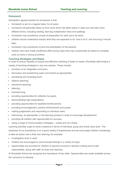## **Homework**

Woodside's agreed practice for homework is that:

- homework is set on a regular basis, for all years
- homework will generally follow on from work which has taken place in class but may take many different forms, including reading, learning multiplication facts and spellings.
- homework may sometimes consist of preparation for work yet to be done;
- children should understand exactly what they are expected to do, how to do it, and how long it should take;
- homework may sometimes involve the participation of the parents;
- children who have made insufficient effort during class time may occasionally be asked to complete work at home or during lunchtime.

#### **Teaching Strategies and Styles**

In order to ensure equality of access and effective matching of tasks to needs, Woodside staff employ a variety of teaching strategies in any one session. These include:

- provision of an integrated curriculum;
- discussion and questioning (open and closed as appropriate);
- previewing and reviewing work;
- didactic teaching;
- interactive teaching;
- listening;
- brainstorming;
- providing opportunities for reflection by pupils;
- demonstrating high expectations;
- providing opportunities for repetition/reinforcement;
- providing encouragement, positive reinforcement and praise;
- making judgements and responding to individual need;
- intervening, as appropriate, in the learning process in order to encourage development;
- providing all children with opportunities for success;
- using a range of communication strategies verbal and non-verbal.

Learning activities ought to show a balance in terms of individual, group and whole class work. The emphasis of our procedures is on a good variety of experiences and we encourage children increasingly to take an active role in their own learning, for example:

- investigative work is used:
- children are encouraged to communicate findings in a variety of ways;
- opportunities are provided for children to become involved in decision making and to take responsibility, along with staff, for their own learning.

At Woodside School we recognise the importance of key skills. Opportunities are made available across the curriculum to develop: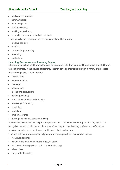- application of number;
- communication;
- computing skills
- problem solving;
- working with others;
- improving own learning and performance.

Thinking skills are developed across the curriculum. This includes:

- creative thinking;
- enquiry;
- information processing;
- reasoning;
- evaluation.

# **Learning Processes and Learning Styles**

Children enter school at different stages of development. Children learn in different ways and at different rates of progress. In the course of learning, children develop their skills through a variety of processes and learning styles. These include:

- investigation;
- experimentation;
- listening;
- observation:
- talking and discussion;
- asking questions;
- practical exploration and role play;
- retrieving information;
- imagining:
- repetition;
- problem-solving;
- making choices and decision-making.

At Woodside School we aim to provide opportunities to develop a wide range of learning styles. We recognise that each child has a unique way of learning and that learning preference is affected by previous experience, competence, confidence, beliefs and values.

Planning will incorporate as many styles of working as possible. These styles include:

- individual learning;
- collaborative learning in small groups, or pairs;
- one to one learning with an adult, or more able pupil;
- whole class:
- independent learning.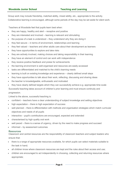Group work may include friendship, matched ability, mixed ability, etc., appropriate to the activity. Collaborative learning is encouraged, although some periods of the day may be set aside for silent work.

Teachers at Woodside feel that pupils learn best when:

- $\bullet$  they are happy, healthy and alert receptive and positive
- they are interested and involved learning is relevant and stimulating
- the purpose of a task is understood they understand why they are doing it
- they feel secure in terms of environment, relationships and learning
- they feel valued teachers and other adults care about their development as learners
- they have opportunities to explore and take risks
- they are actively involved, making choices and taking responsibility in their learning
- they have an element of control and can work with independence
- they receive positive feedback and praise for achievements
- the learning environment is well-organised and resources are easily accessed
- tasks are differentiated and matched to the child's learning needs
- learning is built on existing knowledge and experience clearly defined small steps
- they have opportunities to talk about their work, reflecting, discussing and sharing ideas
- the teacher is knowledgeable, enthusiastic and motivated
- they have clearly defined targets which they can successfully achieve e.g. appropriate time scale Successful teaching takes account of children's prior learning and must ensure continuity and

progression.

Linked to the above, successful teaching is:

- confident teachers have a clear understanding of subject knowledge and setting objectives
- high expectation there is high expectation of success
- well planned there is differentiation with methods and organisation strategies which match curricular objectives and needs of all pupils
- interactive pupil's contributions are encouraged, expected and extended
- characterised by high quality oral work
- well paced there is a sense of urgency, driven by the need to make progress and succeed
- informed by assessment outcomes

#### **Resources**

Classroom and central resources are the responsibility of classroom teachers and subject leaders who ensure that:

- there is a range of appropriate resources available, for which pupils can select materials suitable to the task in hand;
- all children know where classroom resources are kept and the rules about their access and use;
- children are encouraged to act independently in choosing, collecting and returning resources where appropriate;